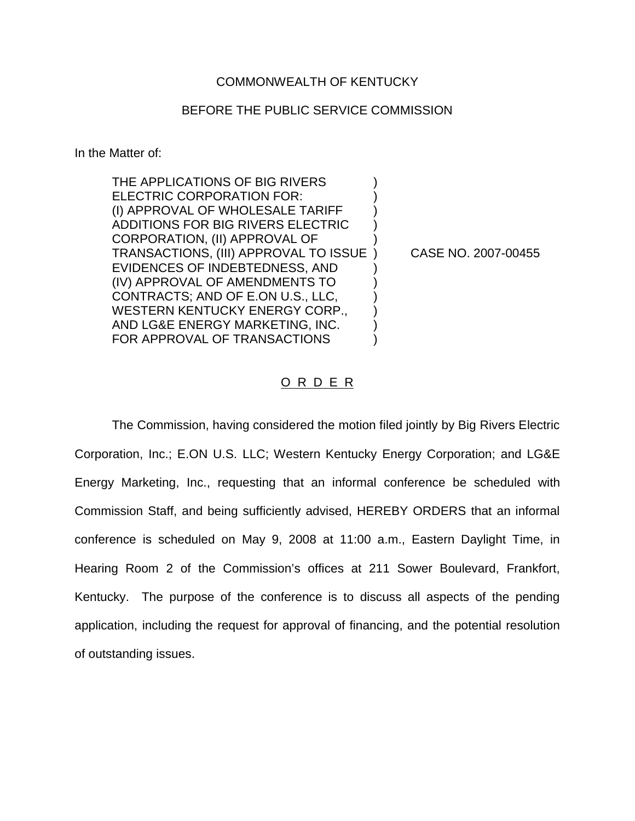## COMMONWEALTH OF KENTUCKY

## BEFORE THE PUBLIC SERVICE COMMISSION

In the Matter of:

THE APPLICATIONS OF BIG RIVERS ELECTRIC CORPORATION FOR: (I) APPROVAL OF WHOLESALE TARIFF ) ADDITIONS FOR BIG RIVERS ELECTRIC ) CORPORATION, (II) APPROVAL OF ) TRANSACTIONS, (III) APPROVAL TO ISSUE ) CASE NO. 2007-00455 EVIDENCES OF INDEBTEDNESS, AND ) (IV) APPROVAL OF AMENDMENTS TO ) CONTRACTS; AND OF E.ON U.S., LLC, ) WESTERN KENTUCKY ENERGY CORP., AND LG&E ENERGY MARKETING, INC. ) FOR APPROVAL OF TRANSACTIONS

## O R D E R

The Commission, having considered the motion filed jointly by Big Rivers Electric Corporation, Inc.; E.ON U.S. LLC; Western Kentucky Energy Corporation; and LG&E Energy Marketing, Inc., requesting that an informal conference be scheduled with Commission Staff, and being sufficiently advised, HEREBY ORDERS that an informal conference is scheduled on May 9, 2008 at 11:00 a.m., Eastern Daylight Time, in Hearing Room 2 of the Commission's offices at 211 Sower Boulevard, Frankfort, Kentucky. The purpose of the conference is to discuss all aspects of the pending application, including the request for approval of financing, and the potential resolution of outstanding issues.